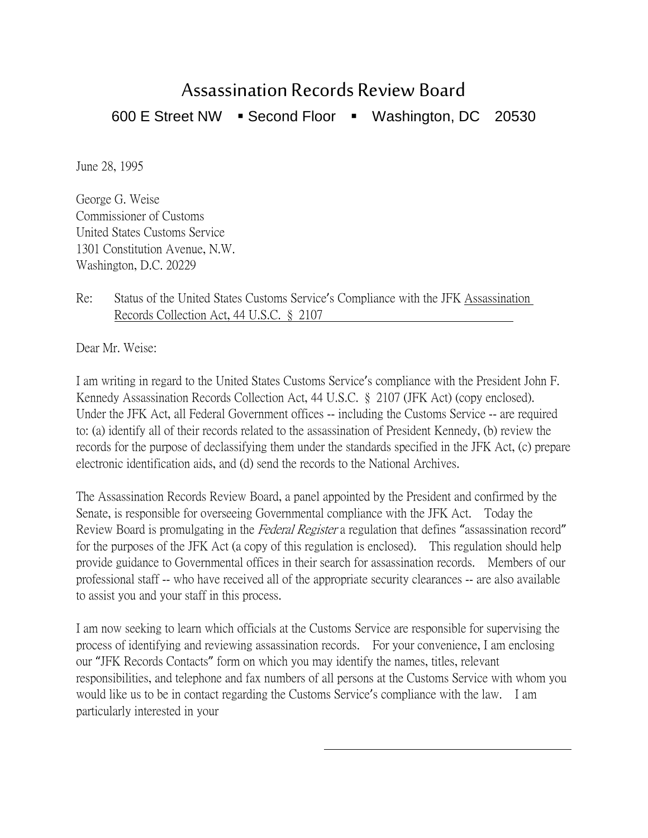## Assassination Records Review Board

600 E Street NW · Second Floor · Washington, DC 20530

June 28, 1995

George G. Weise Commissioner of Customs United States Customs Service 1301 Constitution Avenue, N.W. Washington, D.C. 20229

## Re: Status of the United States Customs Service's Compliance with the JFK Assassination Records Collection Act, 44 U.S.C. § 2107

Dear Mr. Weise:

I am writing in regard to the United States Customs Service's compliance with the President John F. Kennedy Assassination Records Collection Act, 44 U.S.C. § 2107 (JFK Act) (copy enclosed). Under the JFK Act, all Federal Government offices -- including the Customs Service -- are required to: (a) identify all of their records related to the assassination of President Kennedy, (b) review the records for the purpose of declassifying them under the standards specified in the JFK Act, (c) prepare electronic identification aids, and (d) send the records to the National Archives.

The Assassination Records Review Board, a panel appointed by the President and confirmed by the Senate, is responsible for overseeing Governmental compliance with the JFK Act. Today the Review Board is promulgating in the *Federal Register* a regulation that defines "assassination record" for the purposes of the JFK Act (a copy of this regulation is enclosed). This regulation should help provide guidance to Governmental offices in their search for assassination records. Members of our professional staff -- who have received all of the appropriate security clearances -- are also available to assist you and your staff in this process.

I am now seeking to learn which officials at the Customs Service are responsible for supervising the process of identifying and reviewing assassination records. For your convenience, I am enclosing our "JFK Records Contacts" form on which you may identify the names, titles, relevant responsibilities, and telephone and fax numbers of all persons at the Customs Service with whom you would like us to be in contact regarding the Customs Service's compliance with the law. I am particularly interested in your

 $\overline{a}$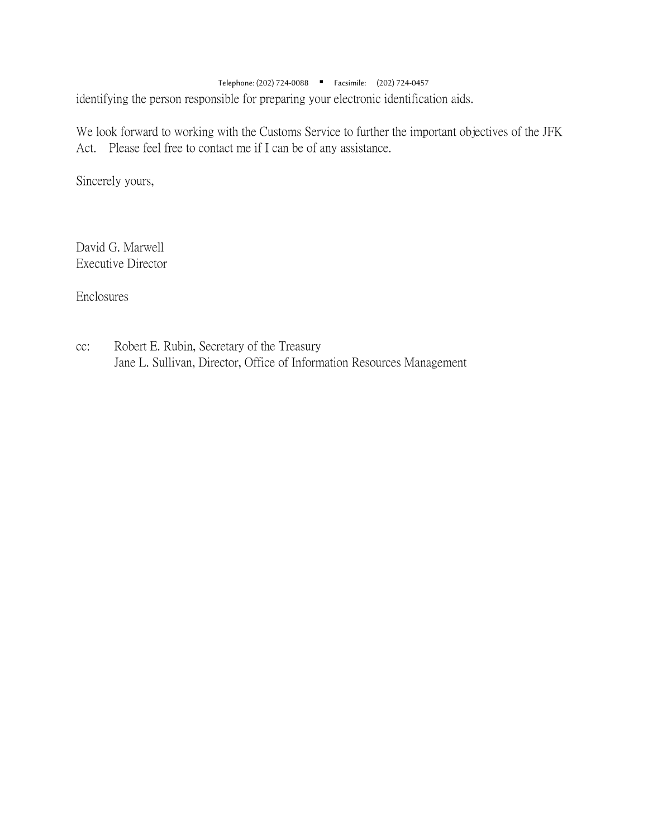Telephone: (202) 724-0088 Facsimile: (202) 724-0457 identifying the person responsible for preparing your electronic identification aids.

We look forward to working with the Customs Service to further the important objectives of the JFK Act. Please feel free to contact me if I can be of any assistance.

Sincerely yours,

David G. Marwell Executive Director

Enclosures

cc: Robert E. Rubin, Secretary of the Treasury Jane L. Sullivan, Director, Office of Information Resources Management